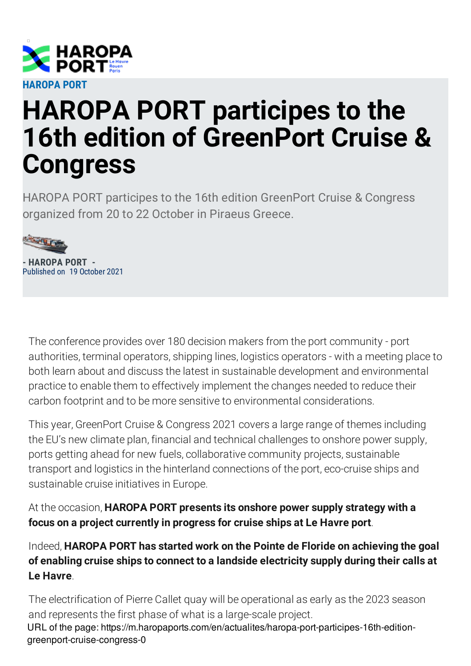

## **HAROPA PORT participes to the 16th edition of GreenPort Cruise & Congress**

HAROPA PORT participes to the 16th edition GreenPort Cruise & Congress organized from 20 to 22 October in Piraeus Greece.



**- HAROPA PORT -** Published on 19 October 2021

The conference provides over 180 decision makers from the port community - port authorities, terminal operators, shipping lines, logistics operators - with a meeting place to both learn about and discuss the latest in sustainable development and environmental practice to enable them to effectively implement the changes needed to reduce their carbon footprint and to be more sensitive to environmental considerations.

This year, GreenPort Cruise & Congress 2021 covers a large range of themes including the EU's new climate plan, financial and technical challenges to onshore power supply, ports getting ahead for new fuels, collaborative community projects, sustainable transport and logistics in the hinterland connections of the port, eco-cruise ships and sustainable cruise initiatives in Europe.

At the occasion, **HAROPA PORT presents its onshore power supply strategy with a focus on a project currently in progress for cruise ships at Le Havre port**.

Indeed, **HAROPA PORT has started work on the Pointe de Floride on achieving the goal of enabling cruise ships to connect to a landside electricity supply during their calls at Le Havre**.

The electrification of Pierre Callet quay will be operational as early as the 2023 season and represents the first phase of what is a large-scale project. URL of the page: https://m.haropaports.com/en/actualites/haropa-port-participes-16th-editiongreenport-cruise-congress-0